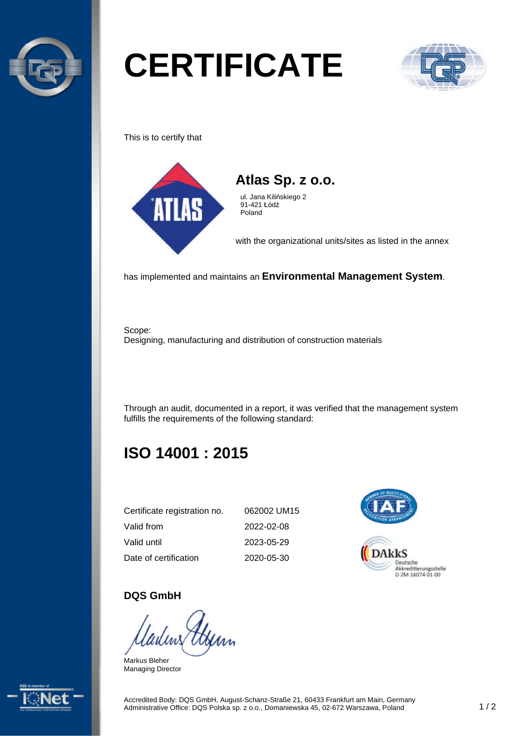

# **CERTIFICATE**



This is to certify that





ul. Jana Kilińskiego 2 91-421 Łódź Poland

with the organizational units/sites as listed in the annex

has implemented and maintains an **Environmental Management System**.

Scope: Designing, manufacturing and distribution of construction materials

Through an audit, documented in a report, it was verified that the management system fulfills the requirements of the following standard:

# **ISO 14001 : 2015**

| Certificate registration no. | 062002 UM15 |
|------------------------------|-------------|
| Valid from                   | 2022-02-08  |
| Valid until                  | 2023-05-29  |
| Date of certification        | 2020-05-30  |



#### **DQS GmbH**

Markus Bleher Managing Director